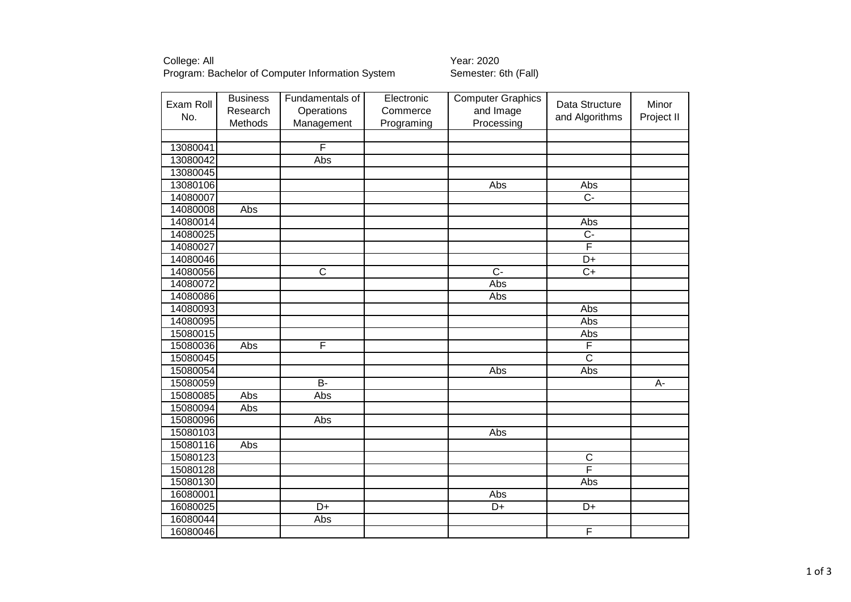College: All Year: 2020 Program: Bachelor of Computer Information System Semester: 6th (Fall)

| Exam Roll<br>No. | <b>Business</b><br>Research | Fundamentals of<br>Operations | Electronic<br>Commerce | <b>Computer Graphics</b><br>and Image | Data Structure<br>and Algorithms | Minor<br>Project II |
|------------------|-----------------------------|-------------------------------|------------------------|---------------------------------------|----------------------------------|---------------------|
|                  | Methods                     | Management                    | Programing             | Processing                            |                                  |                     |
|                  |                             |                               |                        |                                       |                                  |                     |
| 13080041         |                             | $\overline{F}$                |                        |                                       |                                  |                     |
| 13080042         |                             | Abs                           |                        |                                       |                                  |                     |
| 13080045         |                             |                               |                        |                                       |                                  |                     |
| 13080106         |                             |                               |                        | Abs                                   | Abs                              |                     |
| 14080007         |                             |                               |                        |                                       | $\overline{C}$                   |                     |
| 14080008         | Abs                         |                               |                        |                                       |                                  |                     |
| 14080014         |                             |                               |                        |                                       | Abs                              |                     |
| 14080025         |                             |                               |                        |                                       | $\overline{C}$                   |                     |
| 14080027         |                             |                               |                        |                                       | F                                |                     |
| 14080046         |                             |                               |                        |                                       | D+                               |                     |
| 14080056         |                             | $\overline{\text{c}}$         |                        | $\overline{C}$                        | $\overline{C+}$                  |                     |
| 14080072         |                             |                               |                        | Abs                                   |                                  |                     |
| 14080086         |                             |                               |                        | Abs                                   |                                  |                     |
| 14080093         |                             |                               |                        |                                       | Abs                              |                     |
| 14080095         |                             |                               |                        |                                       | Abs                              |                     |
| 15080015         |                             |                               |                        |                                       | Abs                              |                     |
| 15080036         | Abs                         | F                             |                        |                                       | F                                |                     |
| 15080045         |                             |                               |                        |                                       | $\overline{\text{c}}$            |                     |
| 15080054         |                             |                               |                        | Abs                                   | Abs                              |                     |
| 15080059         |                             | $\overline{B}$                |                        |                                       |                                  | $A -$               |
| 15080085         | Abs                         | Abs                           |                        |                                       |                                  |                     |
| 15080094         | Abs                         |                               |                        |                                       |                                  |                     |
| 15080096         |                             | Abs                           |                        |                                       |                                  |                     |
| 15080103         |                             |                               |                        | Abs                                   |                                  |                     |
| 15080116         | Abs                         |                               |                        |                                       |                                  |                     |
| 15080123         |                             |                               |                        |                                       | $\overline{\text{c}}$            |                     |
| 15080128         |                             |                               |                        |                                       | F                                |                     |
| 15080130         |                             |                               |                        |                                       | Abs                              |                     |
| 16080001         |                             |                               |                        | Abs                                   |                                  |                     |
| 16080025         |                             | $\overline{D+}$               |                        | $D+$                                  | $\overline{D+}$                  |                     |
| 16080044         |                             | Abs                           |                        |                                       |                                  |                     |
| 16080046         |                             |                               |                        |                                       | F                                |                     |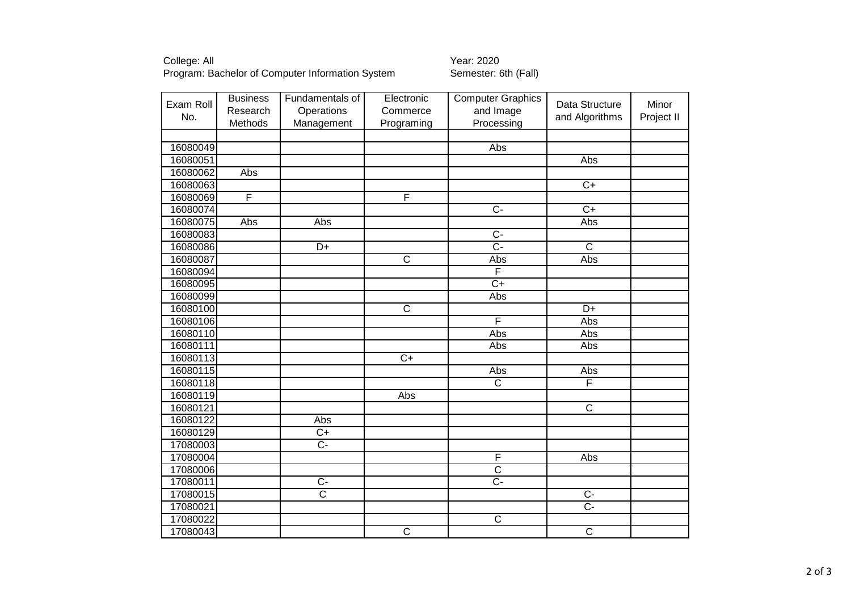College: All Year: 2020 Program: Bachelor of Computer Information System Semester: 6th (Fall)

| Exam Roll<br>No. | <b>Business</b><br>Research | Fundamentals of<br>Operations | Electronic<br>Commerce | <b>Computer Graphics</b><br>and Image | Data Structure<br>and Algorithms | Minor<br>Project II |
|------------------|-----------------------------|-------------------------------|------------------------|---------------------------------------|----------------------------------|---------------------|
|                  | Methods                     | Management                    | Programing             | Processing                            |                                  |                     |
|                  |                             |                               |                        |                                       |                                  |                     |
| 16080049         |                             |                               |                        | Abs                                   |                                  |                     |
| 16080051         |                             |                               |                        |                                       | Abs                              |                     |
| 16080062         | Abs                         |                               |                        |                                       |                                  |                     |
| 16080063         |                             |                               |                        |                                       | $\overline{C+}$                  |                     |
| 16080069         | F                           |                               | F                      |                                       |                                  |                     |
| 16080074         |                             |                               |                        | $\overline{C}$                        | $\overline{C+}$                  |                     |
| 16080075         | Abs                         | Abs                           |                        |                                       | Abs                              |                     |
| 16080083         |                             |                               |                        | $\overline{C}$ -                      |                                  |                     |
| 16080086         |                             | D+                            |                        | $\overline{C}$ -                      | $\overline{C}$                   |                     |
| 16080087         |                             |                               | $\overline{C}$         | Abs                                   | Abs                              |                     |
| 16080094         |                             |                               |                        | F                                     |                                  |                     |
| 16080095         |                             |                               |                        | $\overline{C}$                        |                                  |                     |
| 16080099         |                             |                               |                        | Abs                                   |                                  |                     |
| 16080100         |                             |                               | $\overline{\text{c}}$  |                                       | $\overline{D+}$                  |                     |
| 16080106         |                             |                               |                        | $\overline{F}$                        | Abs                              |                     |
| 16080110         |                             |                               |                        | Abs                                   | Abs                              |                     |
| 16080111         |                             |                               |                        | Abs                                   | Abs                              |                     |
| 16080113         |                             |                               | $\overline{C}$         |                                       |                                  |                     |
| 16080115         |                             |                               |                        | Abs                                   | Abs                              |                     |
| 16080118         |                             |                               |                        | $\overline{\text{c}}$                 | F                                |                     |
| 16080119         |                             |                               | Abs                    |                                       |                                  |                     |
| 16080121         |                             |                               |                        |                                       | $\overline{C}$                   |                     |
| 16080122         |                             | Abs                           |                        |                                       |                                  |                     |
| 16080129         |                             | $C+$                          |                        |                                       |                                  |                     |
| 17080003         |                             | $\overline{C}$                |                        |                                       |                                  |                     |
| 17080004         |                             |                               |                        | F                                     | Abs                              |                     |
| 17080006         |                             |                               |                        | $\overline{C}$                        |                                  |                     |
| 17080011         |                             | $\overline{C}$                |                        | $\overline{C}$                        |                                  |                     |
| 17080015         |                             | $\overline{\mathsf{c}}$       |                        |                                       | $\overline{C}$                   |                     |
| 17080021         |                             |                               |                        |                                       | $\overline{C}$                   |                     |
| 17080022         |                             |                               |                        | $\overline{C}$                        |                                  |                     |
| 17080043         |                             |                               | $\overline{\text{c}}$  |                                       | $\overline{\text{c}}$            |                     |